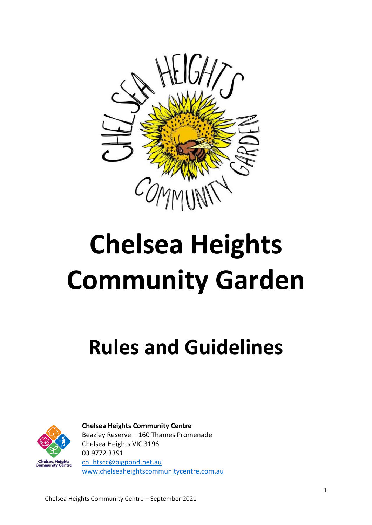

# **Chelsea Heights Community Garden**

## **Rules and Guidelines**



**Chelsea Heights Community Centre** Beazley Reserve – 160 Thames Promenade Chelsea Heights VIC 3196 03 9772 3391 [ch\\_htscc@bigpond.net.au](mailto:ch_htscc@bigpond.net.au) [www.chelseaheightscommunitycentre.com.au](http://www.chelseaheightscommunitycentre.com.au/)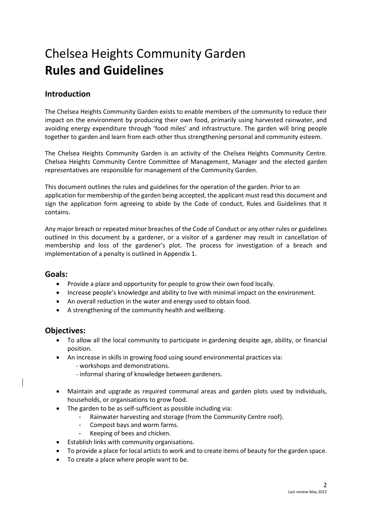### Chelsea Heights Community Garden **Rules and Guidelines**

#### **Introduction**

The Chelsea Heights Community Garden exists to enable members of the community to reduce their impact on the environment by producing their own food, primarily using harvested rainwater, and avoiding energy expenditure through 'food miles' and infrastructure. The garden will bring people together to garden and learn from each other thus strengthening personal and community esteem.

The Chelsea Heights Community Garden is an activity of the Chelsea Heights Community Centre. Chelsea Heights Community Centre Committee of Management, Manager and the elected garden representatives are responsible for management of the Community Garden.

This document outlines the rules and guidelines for the operation of the garden. Prior to an application for membership of the garden being accepted, the applicant must read this document and sign the application form agreeing to abide by the Code of conduct, Rules and Guidelines that it contains.

Any major breach or repeated minor breaches of the Code of Conduct or any other rules or guidelines outlined in this document by a gardener, or a visitor of a gardener may result in cancellation of membership and loss of the gardener's plot. The process for investigation of a breach and implementation of a penalty is outlined in Appendix 1.

#### **Goals:**

- Provide a place and opportunity for people to grow their own food locally.
- Increase people's knowledge and ability to live with minimal impact on the environment.
- An overall reduction in the water and energy used to obtain food.
- A strengthening of the community health and wellbeing.

#### **Objectives:**

- To allow all the local community to participate in gardening despite age, ability, or financial position.
- An increase in skills in growing food using sound environmental practices via:
	- workshops and demonstrations.
	- informal sharing of knowledge between gardeners.
- Maintain and upgrade as required communal areas and garden plots used by individuals, households, or organisations to grow food.
- The garden to be as self-sufficient as possible including via:
	- Rainwater harvesting and storage (from the Community Centre roof).
	- Compost bays and worm farms.
	- Keeping of bees and chicken.
- Establish links with community organisations.
- To provide a place for local artists to work and to create items of beauty for the garden space.
- To create a place where people want to be.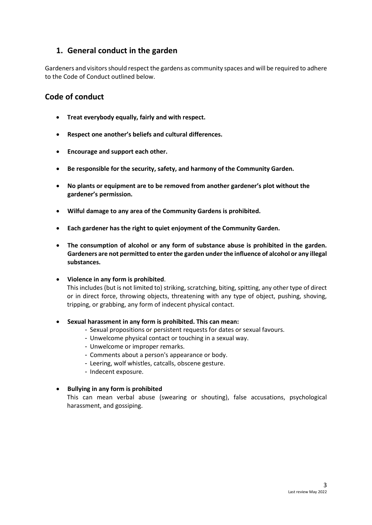#### **1. General conduct in the garden**

Gardeners and visitors should respect the gardens as community spaces and will be required to adhere to the Code of Conduct outlined below.

#### **Code of conduct**

- **Treat everybody equally, fairly and with respect.**
- **Respect one another's beliefs and cultural differences.**
- **Encourage and support each other.**
- **Be responsible for the security, safety, and harmony of the Community Garden.**
- **No plants or equipment are to be removed from another gardener's plot without the gardener's permission.**
- **Wilful damage to any area of the Community Gardens is prohibited.**
- **Each gardener has the right to quiet enjoyment of the Community Garden.**
- **The consumption of alcohol or any form of substance abuse is prohibited in the garden. Gardeners are not permitted to enter the garden under the influence of alcohol or any illegal substances.**
- **Violence in any form is prohibited**.

This includes (but is not limited to) striking, scratching, biting, spitting, any other type of direct or in direct force, throwing objects, threatening with any type of object, pushing, shoving, tripping, or grabbing, any form of indecent physical contact.

- **Sexual harassment in any form is prohibited. This can mean:**
	- Sexual propositions or persistent requests for dates or sexual favours.
	- Unwelcome physical contact or touching in a sexual way.
	- Unwelcome or improper remarks.
	- Comments about a person's appearance or body.
	- Leering, wolf whistles, catcalls, obscene gesture.
	- Indecent exposure.
- **Bullying in any form is prohibited**

This can mean verbal abuse (swearing or shouting), false accusations, psychological harassment, and gossiping.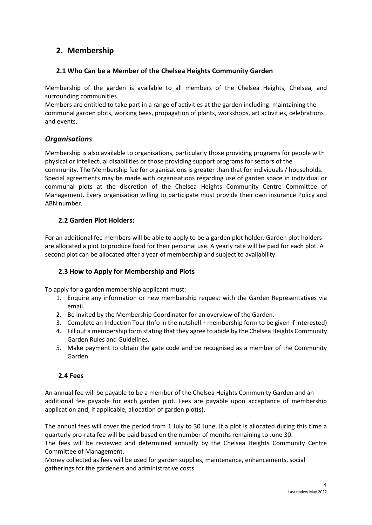#### **2. Membership**

#### **2.1 Who Can be a Member of the Chelsea Heights Community Garden**

Membership of the garden is available to all members of the Chelsea Heights, Chelsea, and surrounding communities.

Members are entitled to take part in a range of activities at the garden including: maintaining the communal garden plots, working bees, propagation of plants, workshops, art activities, celebrations and events.

#### *Organisations*

Membership is also available to organisations, particularly those providing programs for people with physical or intellectual disabilities or those providing support programs for sectors of the community. The Membership fee for organisations is greater than that for individuals / households. Special agreements may be made with organisations regarding use of garden space in individual or communal plots at the discretion of the Chelsea Heights Community Centre Committee of Management. Every organisation willing to participate must provide their own insurance Policy and ABN number.

#### **2.2 Garden Plot Holders:**

For an additional fee members will be able to apply to be a garden plot holder. Garden plot holders are allocated a plot to produce food for their personal use. A yearly rate will be paid for each plot. A second plot can be allocated after a year of membership and subject to availability.

#### **2.3 How to Apply for Membership and Plots**

To apply for a garden membership applicant must:

- 1. Enquire any information or new membership request with the Garden Representatives via email.
- 2. Be invited by the Membership Coordinator for an overview of the Garden.
- 3. Complete an Induction Tour (Info in the nutshell + membership form to be given if interested)
- 4. Fill out a membership form stating that they agree to abide by the Chelsea Heights Community Garden Rules and Guidelines.
- 5. Make payment to obtain the gate code and be recognised as a member of the Community Garden.

#### **2.4 Fees**

An annual fee will be payable to be a member of the Chelsea Heights Community Garden and an additional fee payable for each garden plot. Fees are payable upon acceptance of membership application and, if applicable, allocation of garden plot(s).

The annual fees will cover the period from 1 July to 30 June. If a plot is allocated during this time a quarterly pro-rata fee will be paid based on the number of months remaining to June 30.

The fees will be reviewed and determined annually by the Chelsea Heights Community Centre Committee of Management.

Money collected as fees will be used for garden supplies, maintenance, enhancements, social gatherings for the gardeners and administrative costs.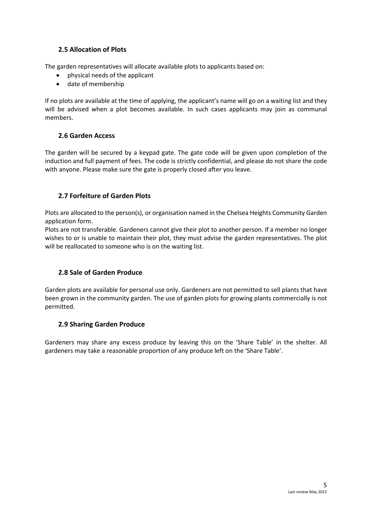#### **2.5 Allocation of Plots**

The garden representatives will allocate available plots to applicants based on:

- physical needs of the applicant
- date of membership

If no plots are available at the time of applying, the applicant's name will go on a waiting list and they will be advised when a plot becomes available. In such cases applicants may join as communal members.

#### **2.6 Garden Access**

The garden will be secured by a keypad gate. The gate code will be given upon completion of the induction and full payment of fees. The code is strictly confidential, and please do not share the code with anyone. Please make sure the gate is properly closed after you leave.

#### **2.7 Forfeiture of Garden Plots**

Plots are allocated to the person(s), or organisation named in the Chelsea Heights Community Garden application form.

Plots are not transferable. Gardeners cannot give their plot to another person. If a member no longer wishes to or is unable to maintain their plot, they must advise the garden representatives. The plot will be reallocated to someone who is on the waiting list.

#### **2.8 Sale of Garden Produce**

Garden plots are available for personal use only. Gardeners are not permitted to sell plants that have been grown in the community garden. The use of garden plots for growing plants commercially is not permitted.

#### **2.9 Sharing Garden Produce**

Gardeners may share any excess produce by leaving this on the 'Share Table' in the shelter. All gardeners may take a reasonable proportion of any produce left on the 'Share Table'.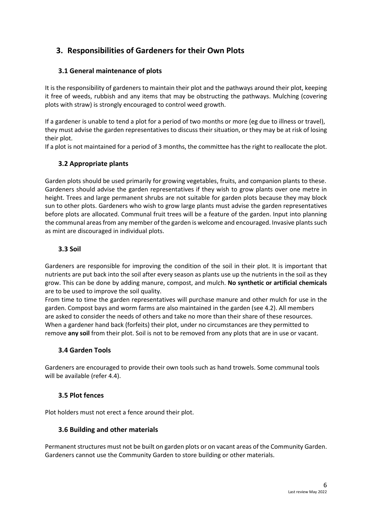#### **3. Responsibilities of Gardeners for their Own Plots**

#### **3.1 General maintenance of plots**

It is the responsibility of gardeners to maintain their plot and the pathways around their plot, keeping it free of weeds, rubbish and any items that may be obstructing the pathways. Mulching (covering plots with straw) is strongly encouraged to control weed growth.

If a gardener is unable to tend a plot for a period of two months or more (eg due to illness or travel), they must advise the garden representatives to discuss their situation, or they may be at risk of losing their plot.

If a plot is not maintained for a period of 3 months, the committee has the right to reallocate the plot.

#### **3.2 Appropriate plants**

Garden plots should be used primarily for growing vegetables, fruits, and companion plants to these. Gardeners should advise the garden representatives if they wish to grow plants over one metre in height. Trees and large permanent shrubs are not suitable for garden plots because they may block sun to other plots. Gardeners who wish to grow large plants must advise the garden representatives before plots are allocated. Communal fruit trees will be a feature of the garden. Input into planning the communal areas from any member of the garden is welcome and encouraged. Invasive plants such as mint are discouraged in individual plots.

#### **3.3 Soil**

Gardeners are responsible for improving the condition of the soil in their plot. It is important that nutrients are put back into the soil after every season as plants use up the nutrients in the soil as they grow. This can be done by adding manure, compost, and mulch. **No synthetic or artificial chemicals**  are to be used to improve the soil quality.

From time to time the garden representatives will purchase manure and other mulch for use in the garden. Compost bays and worm farms are also maintained in the garden (see 4.2). All members are asked to consider the needs of others and take no more than their share of these resources. When a gardener hand back (forfeits) their plot, under no circumstances are they permitted to remove **any soil** from their plot. Soil is not to be removed from any plots that are in use or vacant.

#### **3.4 Garden Tools**

Gardeners are encouraged to provide their own tools such as hand trowels. Some communal tools will be available (refer 4.4).

#### **3.5 Plot fences**

Plot holders must not erect a fence around their plot.

#### **3.6 Building and other materials**

Permanent structures must not be built on garden plots or on vacant areas of the Community Garden. Gardeners cannot use the Community Garden to store building or other materials.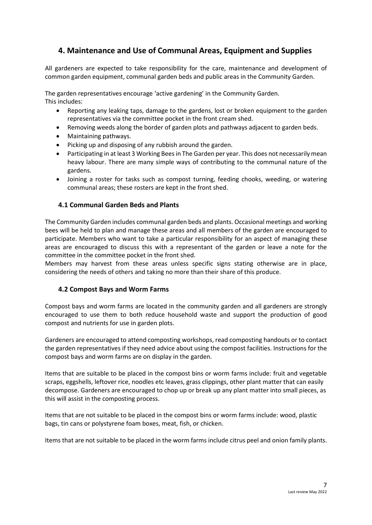#### **4. Maintenance and Use of Communal Areas, Equipment and Supplies**

All gardeners are expected to take responsibility for the care, maintenance and development of common garden equipment, communal garden beds and public areas in the Community Garden.

The garden representatives encourage 'active gardening' in the Community Garden. This includes:

- Reporting any leaking taps, damage to the gardens, lost or broken equipment to the garden representatives via the committee pocket in the front cream shed.
- Removing weeds along the border of garden plots and pathways adjacent to garden beds.
- Maintaining pathways.
- Picking up and disposing of any rubbish around the garden.
- Participating in at least 3 Working Bees in The Garden per year. This does not necessarily mean heavy labour. There are many simple ways of contributing to the communal nature of the gardens.
- Joining a roster for tasks such as compost turning, feeding chooks, weeding, or watering communal areas; these rosters are kept in the front shed.

#### **4.1 Communal Garden Beds and Plants**

The Community Garden includes communal garden beds and plants. Occasional meetings and working bees will be held to plan and manage these areas and all members of the garden are encouraged to participate. Members who want to take a particular responsibility for an aspect of managing these areas are encouraged to discuss this with a representant of the garden or leave a note for the committee in the committee pocket in the front shed.

Members may harvest from these areas unless specific signs stating otherwise are in place, considering the needs of others and taking no more than their share of this produce.

#### **4.2 Compost Bays and Worm Farms**

Compost bays and worm farms are located in the community garden and all gardeners are strongly encouraged to use them to both reduce household waste and support the production of good compost and nutrients for use in garden plots.

Gardeners are encouraged to attend composting workshops, read composting handouts or to contact the garden representatives if they need advice about using the compost facilities. Instructions for the compost bays and worm farms are on display in the garden.

Items that are suitable to be placed in the compost bins or worm farms include: fruit and vegetable scraps, eggshells, leftover rice, noodles etc leaves, grass clippings, other plant matter that can easily decompose. Gardeners are encouraged to chop up or break up any plant matter into small pieces, as this will assist in the composting process.

Items that are not suitable to be placed in the compost bins or worm farms include: wood, plastic bags, tin cans or polystyrene foam boxes, meat, fish, or chicken.

Items that are not suitable to be placed in the worm farms include citrus peel and onion family plants.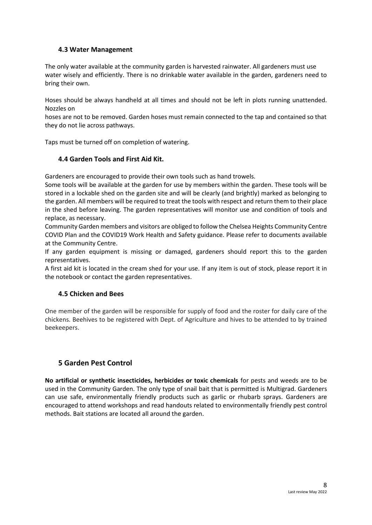#### **4.3 Water Management**

The only water available at the community garden is harvested rainwater. All gardeners must use water wisely and efficiently. There is no drinkable water available in the garden, gardeners need to bring their own.

Hoses should be always handheld at all times and should not be left in plots running unattended. Nozzles on

hoses are not to be removed. Garden hoses must remain connected to the tap and contained so that they do not lie across pathways.

Taps must be turned off on completion of watering.

#### **4.4 Garden Tools and First Aid Kit.**

Gardeners are encouraged to provide their own tools such as hand trowels.

Some tools will be available at the garden for use by members within the garden. These tools will be stored in a lockable shed on the garden site and will be clearly (and brightly) marked as belonging to the garden. All members will be required to treat the tools with respect and return them to their place in the shed before leaving. The garden representatives will monitor use and condition of tools and replace, as necessary.

Community Garden members and visitors are obliged to follow the Chelsea Heights Community Centre COVID Plan and the COVID19 Work Health and Safety guidance. Please refer to documents available at the Community Centre.

If any garden equipment is missing or damaged, gardeners should report this to the garden representatives.

A first aid kit is located in the cream shed for your use. If any item is out of stock, please report it in the notebook or contact the garden representatives.

#### **4.5 Chicken and Bees**

One member of the garden will be responsible for supply of food and the roster for daily care of the chickens. Beehives to be registered with Dept. of Agriculture and hives to be attended to by trained beekeepers.

#### **5 Garden Pest Control**

**No artificial or synthetic insecticides, herbicides or toxic chemicals** for pests and weeds are to be used in the Community Garden. The only type of snail bait that is permitted is Multigrad. Gardeners can use safe, environmentally friendly products such as garlic or rhubarb sprays. Gardeners are encouraged to attend workshops and read handouts related to environmentally friendly pest control methods. Bait stations are located all around the garden.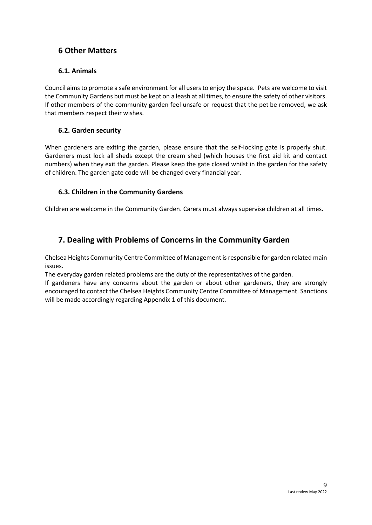#### **6 Other Matters**

#### **6.1. Animals**

Council aims to promote a safe environment for all users to enjoy the space. Pets are welcome to visit the Community Gardens but must be kept on a leash at all times, to ensure the safety of other visitors. If other members of the community garden feel unsafe or request that the pet be removed, we ask that members respect their wishes.

#### **6.2. Garden security**

When gardeners are exiting the garden, please ensure that the self-locking gate is properly shut. Gardeners must lock all sheds except the cream shed (which houses the first aid kit and contact numbers) when they exit the garden. Please keep the gate closed whilst in the garden for the safety of children. The garden gate code will be changed every financial year.

#### **6.3. Children in the Community Gardens**

Children are welcome in the Community Garden. Carers must always supervise children at all times.

#### **7. Dealing with Problems of Concerns in the Community Garden**

Chelsea Heights Community Centre Committee of Management is responsible for garden related main issues.

The everyday garden related problems are the duty of the representatives of the garden.

If gardeners have any concerns about the garden or about other gardeners, they are strongly encouraged to contact the Chelsea Heights Community Centre Committee of Management. Sanctions will be made accordingly regarding Appendix 1 of this document.